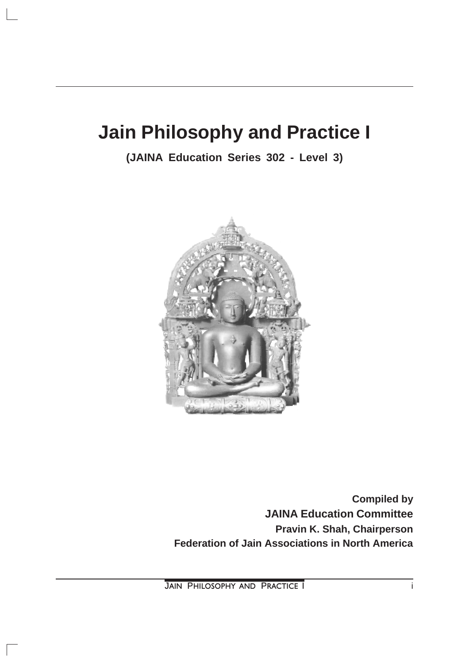# **Jain Philosophy and Practice I**

**(JAINA Education Series 302 - Level 3)**



**Compiled by JAINA Education Committee Pravin K. Shah, Chairperson Federation of Jain Associations in North America**

**JAIN PHILOSOPHY AND PRACTICE I i**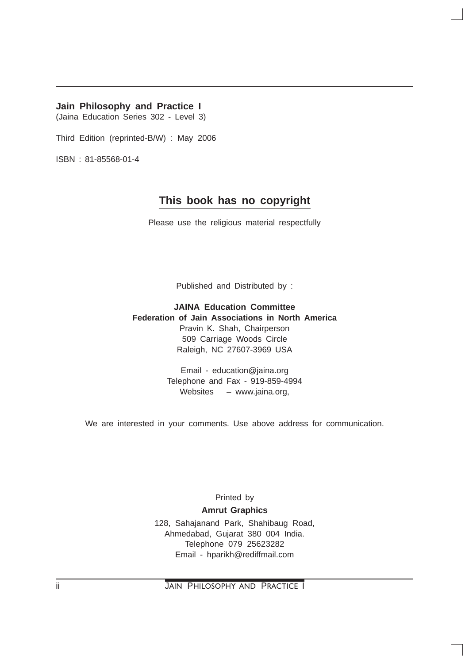#### **Jain Philosophy and Practice I**

(Jaina Education Series 302 - Level 3)

Third Edition (reprinted-B/W) : May 2006

ISBN : 81-85568-01-4

## **This book has no copyright**

Please use the religious material respectfully

Published and Distributed by :

**JAINA Education Committee Federation of Jain Associations in North America** Pravin K. Shah, Chairperson 509 Carriage Woods Circle Raleigh, NC 27607-3969 USA

> Email - education@jaina.org Telephone and Fax - 919-859-4994 Websites – www.jaina.org,

We are interested in your comments. Use above address for communication.

Printed by

**Amrut Graphics**

128, Sahajanand Park, Shahibaug Road, Ahmedabad, Gujarat 380 004 India. Telephone 079 25623282 Email - hparikh@rediffmail.com

ii JAIN PHILOSOPHY AND PRACTICE I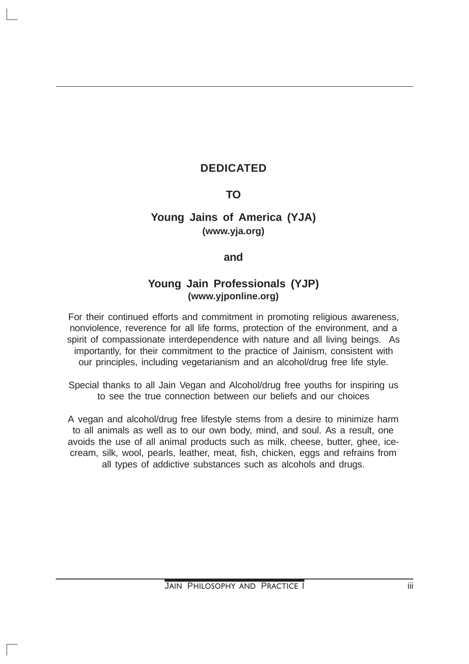# **DEDICATED**

## **TO**

# **Young Jains of America (YJA) (www.yja.org)**

## **and**

## **Young Jain Professionals (YJP) (www.yjponline.org)**

For their continued efforts and commitment in promoting religious awareness, nonviolence, reverence for all life forms, protection of the environment, and a spirit of compassionate interdependence with nature and all living beings. As importantly, for their commitment to the practice of Jainism, consistent with our principles, including vegetarianism and an alcohol/drug free life style.

Special thanks to all Jain Vegan and Alcohol/drug free youths for inspiring us to see the true connection between our beliefs and our choices

A vegan and alcohol/drug free lifestyle stems from a desire to minimize harm to all animals as well as to our own body, mind, and soul. As a result, one avoids the use of all animal products such as milk, cheese, butter, ghee, icecream, silk, wool, pearls, leather, meat, fish, chicken, eggs and refrains from all types of addictive substances such as alcohols and drugs.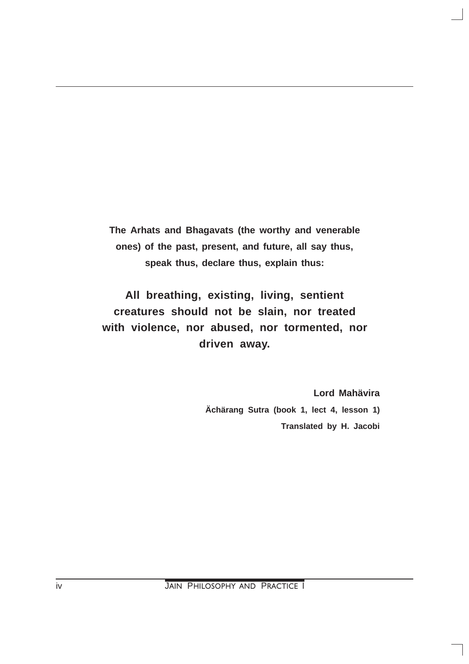**The Arhats and Bhagavats (the worthy and venerable ones) of the past, present, and future, all say thus, speak thus, declare thus, explain thus:**

**All breathing, existing, living, sentient creatures should not be slain, nor treated with violence, nor abused, nor tormented, nor driven away.**

> **Lord Mahävira Ächärang Sutra (book 1, lect 4, lesson 1) Translated by H. Jacobi**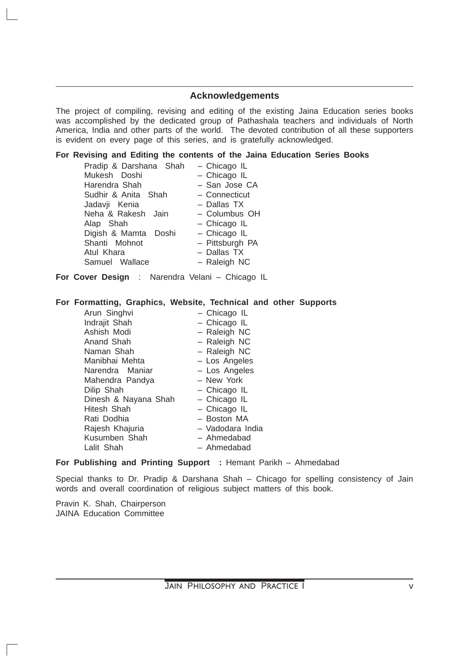#### **Acknowledgements**

The project of compiling, revising and editing of the existing Jaina Education series books was accomplished by the dedicated group of Pathashala teachers and individuals of North America, India and other parts of the world. The devoted contribution of all these supporters is evident on every page of this series, and is gratefully acknowledged.

#### **For Revising and Editing the contents of the Jaina Education Series Books**

| Pradip & Darshana Shah | - Chicago IL    |
|------------------------|-----------------|
| Mukesh Doshi           | - Chicago IL    |
| Harendra Shah          | - San Jose CA   |
| Sudhir & Anita Shah    | - Connecticut   |
| Jadavji Kenia          | - Dallas TX     |
| Neha & Rakesh Jain     | - Columbus OH   |
| Alap Shah              | - Chicago IL    |
| Digish & Mamta Doshi   | - Chicago IL    |
| Shanti Mohnot          | - Pittsburgh PA |
| Atul Khara             | - Dallas TX     |
| Samuel Wallace         | - Raleigh NC    |

**For Cover Design** : Narendra Velani – Chicago IL

#### **For Formatting, Graphics, Website, Technical and other Supports**

| Arun Singhvi         | - Chicago IL     |
|----------------------|------------------|
| Indrajit Shah        | - Chicago IL     |
| Ashish Modi          | - Raleigh NC     |
| Anand Shah           | - Raleigh NC     |
| Naman Shah           | - Raleigh NC     |
| Manibhai Mehta       | - Los Angeles    |
| Narendra Maniar      | - Los Angeles    |
| Mahendra Pandya      | - New York       |
| Dilip Shah           | - Chicago IL     |
| Dinesh & Nayana Shah | - Chicago IL     |
| Hitesh Shah          | - Chicago IL     |
| Rati Dodhia          | - Boston MA      |
| Rajesh Khajuria      | - Vadodara India |
| Kusumben Shah        | - Ahmedabad      |
| Lalit Shah           | - Ahmedabad      |

#### **For Publishing and Printing Support :** Hemant Parikh – Ahmedabad

Special thanks to Dr. Pradip & Darshana Shah – Chicago for spelling consistency of Jain words and overall coordination of religious subject matters of this book.

Pravin K. Shah, Chairperson JAINA Education Committee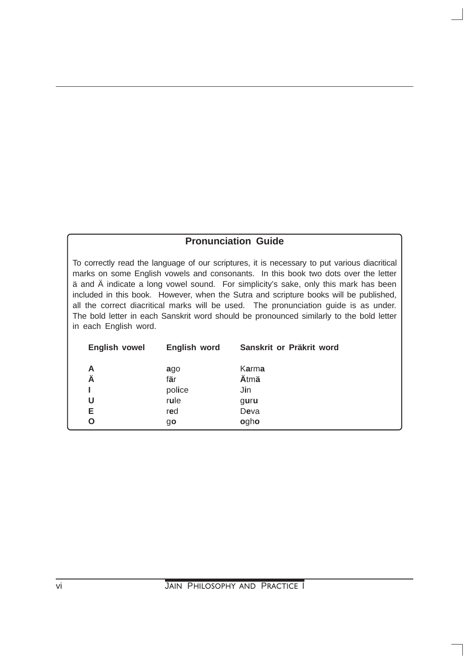## **Pronunciation Guide**

To correctly read the language of our scriptures, it is necessary to put various diacritical marks on some English vowels and consonants. In this book two dots over the letter ä and Ä indicate a long vowel sound. For simplicity's sake, only this mark has been included in this book. However, when the Sutra and scripture books will be published, all the correct diacritical marks will be used. The pronunciation guide is as under. The bold letter in each Sanskrit word should be pronounced similarly to the bold letter in each English word.

| <b>English vowel</b> | English word | Sanskrit or Präkrit word |
|----------------------|--------------|--------------------------|
| A                    | ago          | Karma                    |
| Ä                    | fär          | Ätmä                     |
|                      | police       | Jin                      |
| U                    | rule         | guru                     |
| Е                    | red          | Deva                     |
| O                    | go           | ogho                     |
|                      |              |                          |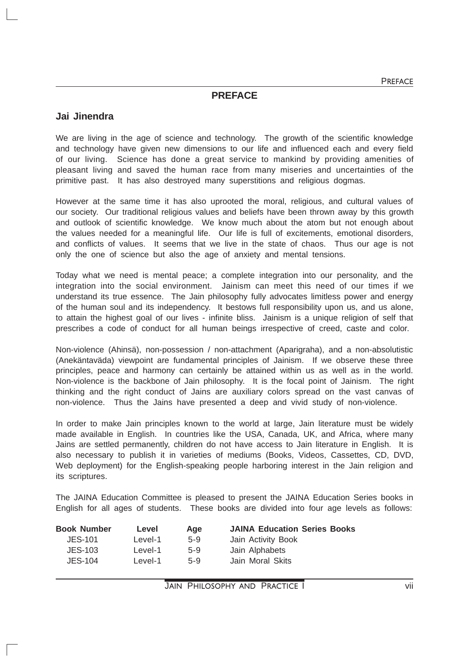#### **PREFACE**

#### **Jai Jinendra**

We are living in the age of science and technology. The growth of the scientific knowledge and technology have given new dimensions to our life and influenced each and every field of our living. Science has done a great service to mankind by providing amenities of pleasant living and saved the human race from many miseries and uncertainties of the primitive past. It has also destroyed many superstitions and religious dogmas.

However at the same time it has also uprooted the moral, religious, and cultural values of our society. Our traditional religious values and beliefs have been thrown away by this growth and outlook of scientific knowledge. We know much about the atom but not enough about the values needed for a meaningful life. Our life is full of excitements, emotional disorders, and conflicts of values. It seems that we live in the state of chaos. Thus our age is not only the one of science but also the age of anxiety and mental tensions.

Today what we need is mental peace; a complete integration into our personality, and the integration into the social environment. Jainism can meet this need of our times if we understand its true essence. The Jain philosophy fully advocates limitless power and energy of the human soul and its independency. It bestows full responsibility upon us, and us alone, to attain the highest goal of our lives - infinite bliss. Jainism is a unique religion of self that prescribes a code of conduct for all human beings irrespective of creed, caste and color.

Non-violence (Ahinsä), non-possession / non-attachment (Aparigraha), and a non-absolutistic (Anekäntaväda) viewpoint are fundamental principles of Jainism. If we observe these three principles, peace and harmony can certainly be attained within us as well as in the world. Non-violence is the backbone of Jain philosophy. It is the focal point of Jainism. The right thinking and the right conduct of Jains are auxiliary colors spread on the vast canvas of non-violence. Thus the Jains have presented a deep and vivid study of non-violence.

In order to make Jain principles known to the world at large, Jain literature must be widely made available in English. In countries like the USA, Canada, UK, and Africa, where many Jains are settled permanently, children do not have access to Jain literature in English. It is also necessary to publish it in varieties of mediums (Books, Videos, Cassettes, CD, DVD, Web deployment) for the English-speaking people harboring interest in the Jain religion and its scriptures.

The JAINA Education Committee is pleased to present the JAINA Education Series books in English for all ages of students. These books are divided into four age levels as follows:

| Level   | Age   | <b>JAINA Education Series Books</b> |
|---------|-------|-------------------------------------|
| Level-1 | $5-9$ | Jain Activity Book                  |
| Level-1 | $5-9$ | Jain Alphabets                      |
| Level-1 | $5-9$ | Jain Moral Skits                    |
|         |       |                                     |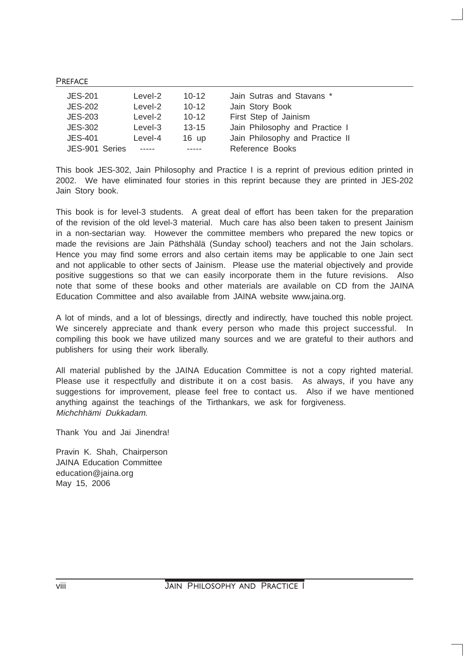PREFACE

| JES-201        | Level-2 | $10 - 12$       | Jain Sutras and Stavans *       |  |
|----------------|---------|-----------------|---------------------------------|--|
| <b>JES-202</b> | Level-2 | $10 - 12$       | Jain Story Book                 |  |
| <b>JES-203</b> | Level-2 | $10 - 12$       | First Step of Jainism           |  |
| <b>JES-302</b> | Level-3 | $13 - 15$       | Jain Philosophy and Practice I  |  |
| JES-401        | Level-4 | $16 \text{ up}$ | Jain Philosophy and Practice II |  |
| JES-901 Series |         |                 | Reference Books                 |  |

This book JES-302, Jain Philosophy and Practice I is a reprint of previous edition printed in 2002. We have eliminated four stories in this reprint because they are printed in JES-202 Jain Story book.

This book is for level-3 students. A great deal of effort has been taken for the preparation of the revision of the old level-3 material. Much care has also been taken to present Jainism in a non-sectarian way. However the committee members who prepared the new topics or made the revisions are Jain Päthshälä (Sunday school) teachers and not the Jain scholars. Hence you may find some errors and also certain items may be applicable to one Jain sect and not applicable to other sects of Jainism. Please use the material objectively and provide positive suggestions so that we can easily incorporate them in the future revisions. Also note that some of these books and other materials are available on CD from the JAINA Education Committee and also available from JAINA website www.jaina.org.

A lot of minds, and a lot of blessings, directly and indirectly, have touched this noble project. We sincerely appreciate and thank every person who made this project successful. In compiling this book we have utilized many sources and we are grateful to their authors and publishers for using their work liberally.

All material published by the JAINA Education Committee is not a copy righted material. Please use it respectfully and distribute it on a cost basis. As always, if you have any suggestions for improvement, please feel free to contact us. Also if we have mentioned anything against the teachings of the Tirthankars, we ask for forgiveness. Michchhämi Dukkadam.

Thank You and Jai Jinendra!

Pravin K. Shah, Chairperson JAINA Education Committee education@jaina.org May 15, 2006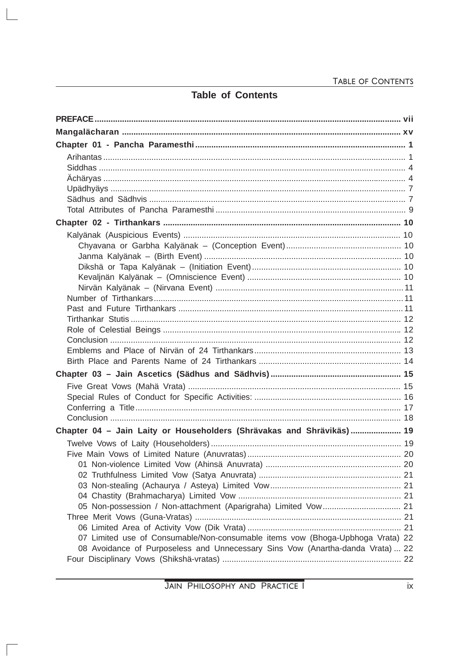# **Table of Contents**

 $\begin{array}{c} \hline \end{array}$ 

 $\sqrt{2}$ 

| Chapter 04 - Jain Laity or Householders (Shrävakas and Shrävikäs) 19           |  |
|--------------------------------------------------------------------------------|--|
|                                                                                |  |
|                                                                                |  |
|                                                                                |  |
|                                                                                |  |
|                                                                                |  |
|                                                                                |  |
|                                                                                |  |
|                                                                                |  |
|                                                                                |  |
| 07 Limited use of Consumable/Non-consumable items vow (Bhoga-Upbhoga Vrata) 22 |  |
| 08 Avoidance of Purposeless and Unnecessary Sins Vow (Anartha-danda Vrata)  22 |  |
|                                                                                |  |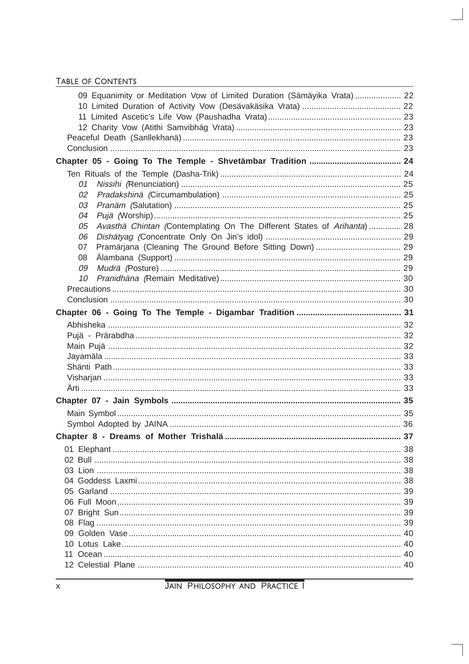| 09 Equanimity or Meditation Vow of Limited Duration (Sämäyika Vrata) 22       |  |
|-------------------------------------------------------------------------------|--|
|                                                                               |  |
|                                                                               |  |
|                                                                               |  |
|                                                                               |  |
|                                                                               |  |
|                                                                               |  |
|                                                                               |  |
| 01                                                                            |  |
| 02                                                                            |  |
| 03                                                                            |  |
| 04                                                                            |  |
| Avasthä Chintan (Contemplating On The Different States of Arihanta)  28<br>05 |  |
| 06                                                                            |  |
| 07                                                                            |  |
| 08                                                                            |  |
| 09                                                                            |  |
| 10                                                                            |  |
|                                                                               |  |
|                                                                               |  |
|                                                                               |  |
|                                                                               |  |
|                                                                               |  |
|                                                                               |  |
|                                                                               |  |
|                                                                               |  |
|                                                                               |  |
|                                                                               |  |
|                                                                               |  |
|                                                                               |  |
|                                                                               |  |
|                                                                               |  |
|                                                                               |  |
|                                                                               |  |
|                                                                               |  |
|                                                                               |  |
|                                                                               |  |
|                                                                               |  |
|                                                                               |  |
|                                                                               |  |
|                                                                               |  |
|                                                                               |  |
|                                                                               |  |
|                                                                               |  |

 $\overline{\phantom{a}}$ 

 $\overline{\phantom{a}}$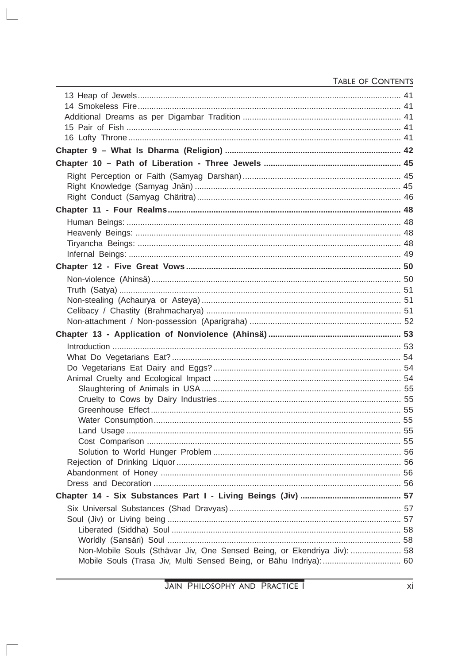| Non-Mobile Souls (Sthävar Jiv, One Sensed Being, or Ekendriya Jiv):  58 |  |
|-------------------------------------------------------------------------|--|

 $\begin{array}{c} \hline \end{array}$ 

 $\sqrt{2}$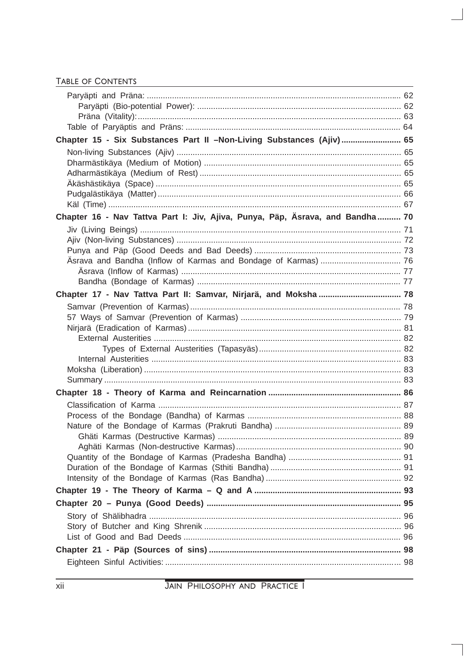| Chapter 15 - Six Substances Part II -Non-Living Substances (Ajiv) 65          |  |
|-------------------------------------------------------------------------------|--|
|                                                                               |  |
|                                                                               |  |
|                                                                               |  |
|                                                                               |  |
|                                                                               |  |
|                                                                               |  |
| Chapter 16 - Nav Tattva Part I: Jiv, Ajiva, Punya, Päp, Äsrava, and Bandha 70 |  |
|                                                                               |  |
|                                                                               |  |
|                                                                               |  |
|                                                                               |  |
|                                                                               |  |
|                                                                               |  |
|                                                                               |  |
|                                                                               |  |
|                                                                               |  |
|                                                                               |  |
|                                                                               |  |
|                                                                               |  |
|                                                                               |  |
|                                                                               |  |
|                                                                               |  |
|                                                                               |  |
|                                                                               |  |
|                                                                               |  |
|                                                                               |  |
|                                                                               |  |
|                                                                               |  |
|                                                                               |  |
|                                                                               |  |
|                                                                               |  |
|                                                                               |  |
|                                                                               |  |
|                                                                               |  |
|                                                                               |  |
|                                                                               |  |
|                                                                               |  |
|                                                                               |  |
|                                                                               |  |
|                                                                               |  |

 $\overline{\phantom{a}}$ 

JAIN PHILOSOPHY AND PRACTICE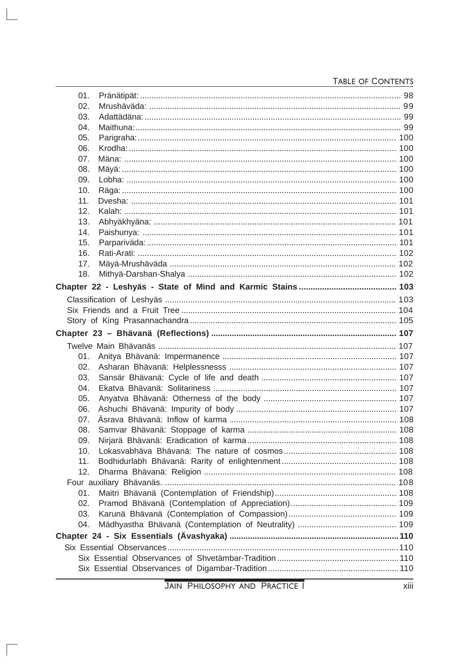| 01. |  |
|-----|--|
| 02. |  |
| 03. |  |
| 04. |  |
| 05. |  |
| 06. |  |
| 07. |  |
| 08. |  |
| 09. |  |
| 10. |  |
| 11. |  |
| 12. |  |
| 13. |  |
| 14. |  |
| 15. |  |
| 16. |  |
| 17. |  |
| 18. |  |
|     |  |
|     |  |
|     |  |
|     |  |
|     |  |
|     |  |
| 01. |  |
| 02. |  |
| 03. |  |
| 04. |  |
| 05. |  |
| 06. |  |
| 07. |  |
| 08. |  |
| 09. |  |
| 10. |  |
| 11. |  |
| 12. |  |
|     |  |
| 01. |  |
| 02. |  |
| 03. |  |
| 04. |  |
|     |  |
|     |  |
|     |  |
|     |  |
|     |  |

 $\begin{array}{c} \hline \end{array}$ 

 $\sqrt{2}$ 

xiii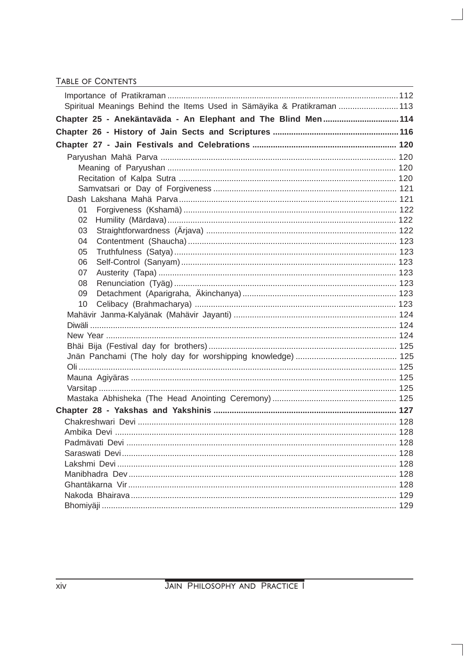| Spiritual Meanings Behind the Items Used in Sämäyika & Pratikraman  113 |     |
|-------------------------------------------------------------------------|-----|
| Chapter 25 - Anekäntaväda - An Elephant and The Blind Men 114           |     |
|                                                                         |     |
|                                                                         |     |
|                                                                         |     |
|                                                                         |     |
|                                                                         |     |
|                                                                         |     |
|                                                                         |     |
| 01                                                                      |     |
| 02                                                                      |     |
| 03                                                                      |     |
| 04                                                                      |     |
| 05                                                                      |     |
| 06                                                                      |     |
| 07                                                                      |     |
| 08                                                                      |     |
| 09                                                                      |     |
| 10                                                                      |     |
|                                                                         |     |
|                                                                         |     |
|                                                                         |     |
|                                                                         |     |
|                                                                         |     |
|                                                                         |     |
|                                                                         |     |
|                                                                         |     |
|                                                                         |     |
|                                                                         |     |
|                                                                         |     |
|                                                                         |     |
|                                                                         | 128 |
|                                                                         |     |
|                                                                         |     |
|                                                                         |     |
|                                                                         |     |
|                                                                         |     |
|                                                                         |     |

 $\overline{\phantom{a}}$ 

 $\overline{\phantom{a}}$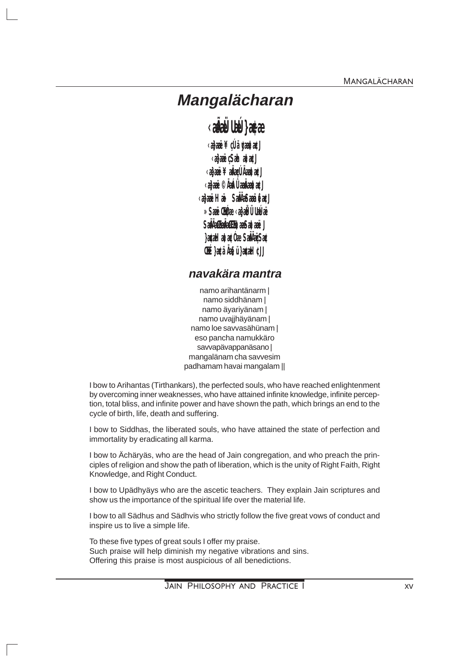# Mangalächaran

# *<u><b>EAULE</u>* as a

*<dai***e¥dã¢ata@J** *<da***ë** Sahata@J *<deail \ \ ded [Aait aCJ* <aa<del>ü</del>©ÃáÛa<del>dat</del>a€J *<u><b>RaëHä Salibañêa</u>* » Saë Chee aa Ulatä Saluta a sa a J acelatae De Samir Sae **E at AsulaeH** CU

## navakära mantra

namo arihantänarm l namo siddhänam | namo ävarivänam | namo uvajjhäyänam | namo loe savvasähünam | eso pancha namukkäro savvapävappanäsano | mangalänam cha savvesim padhamam havai mangalam ||

I bow to Arihantas (Tirthankars), the perfected souls, who have reached enlightenment by overcoming inner weaknesses, who have attained infinite knowledge, infinite perception, total bliss, and infinite power and have shown the path, which brings an end to the cycle of birth, life, death and suffering.

I bow to Siddhas, the liberated souls, who have attained the state of perfection and immortality by eradicating all karma.

I bow to Achäryäs, who are the head of Jain congregation, and who preach the principles of religion and show the path of liberation, which is the unity of Right Faith, Right Knowledge, and Right Conduct.

I bow to Upädhyäys who are the ascetic teachers. They explain Jain scriptures and show us the importance of the spiritual life over the material life.

I bow to all Sädhus and Sädhvis who strictly follow the five great yows of conduct and inspire us to live a simple life.

To these five types of great souls I offer my praise. Such praise will help diminish my negative vibrations and sins. Offering this praise is most auspicious of all benedictions.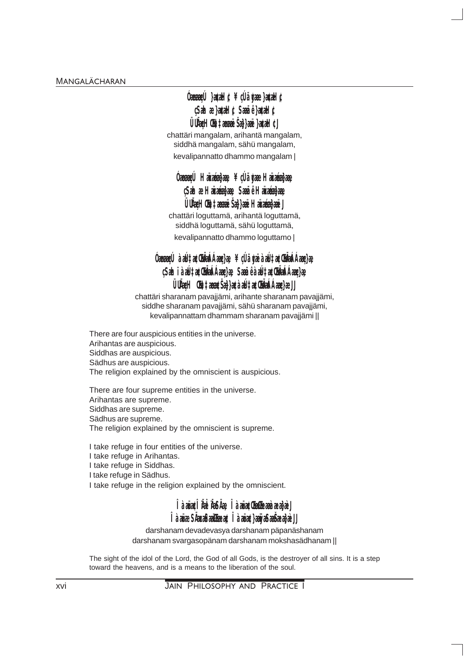## **Úmarlí }atelic ¥dávae}atelic Sahaelatel C Sañêlatel C** Undel (France Sablar) and CI

chattäri mangalam, arihantä mangalam. siddhä mangalam, sähü mangalam, kevalipannatto dhammo mangalam |

## Ócceed Härzégbare ¥dãvæHärzégbare SahaeHäxéehae SañêHäxéehae Undel (Friage Se) a Häzegga J

chattäri loguttamä, arihantä loguttamä, siddhä loguttamä, sähü loguttamä, kevalipannatto dhammo loguttamo |

## **Úmarlí aditætlind har ar ¥dia væaditætlind har ar** Sahi à all a Chia Ázada Sañ e à all a Chia Ázada ÜÜkeH (FriageŠabasa alta CHAA Aarda EJ

chattäri sharanam pavajjämi, arihante sharanam pavajjämi, siddhe sharanam pavajjämi, sähü sharanam pavajjämi, kevalipannattam dhammam sharanam pavajjämi ||

There are four auspicious entities in the universe. Arihantas are auspicious. Siddhas are auspicious. Sädhus are auspicious. The religion explained by the omniscient is auspicious.

There are four supreme entities in the universe. Arihantas are supreme. Siddhas are supreme. Sädhus are supreme. The religion explained by the omniscient is supreme.

I take refuge in four entities of the universe.

I take refuge in Arihantas.

I take refuge in Siddhas.

I take refuge in Sädhus.

I take refuge in the religion explained by the omniscient.

## Î à *z*inê Î <del>MÎ</del> MBA Le Î à zinê Ti dina xezka J Tà aire SAnchaitheac Tà airc) air Safaeach J

darshanam devadevasya darshanam päpanäshanam darshanam svargasopänam darshanam mokshasädhanam ||

The sight of the idol of the Lord, the God of all Gods, is the destroyer of all sins. It is a step toward the heavens, and is a means to the liberation of the soul.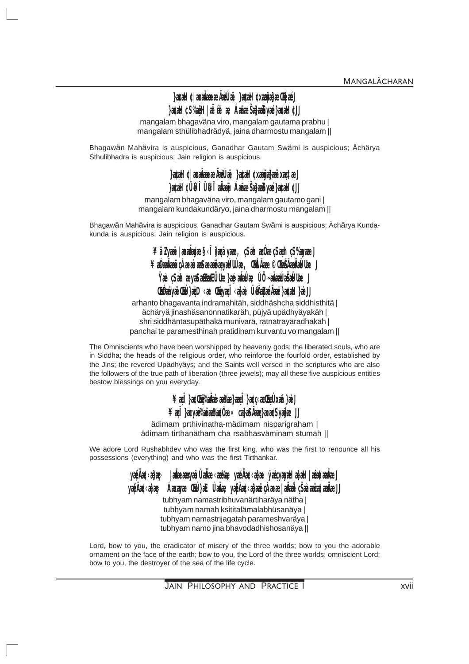## }a&H C axAmecAd Lij }a&H Cxañdec ThaéJ }a&HCS%@H|aFat ae ÁameSabadiyaé}a&HCU

mangalam bhagaväna viro, mangalam gautama prabhu | mangalam sthülibhadrädyä, jaina dharmostu mangalam ||

Bhagawän Mahävira is auspicious, Ganadhar Gautam Swämi is auspicious; Ächärya Sthulibhadra is auspicious; Jain religion is auspicious.

## }a&HC axAmeaeAeLie }a&H CxameaeixataeJ }a&H CÜNÎ ÜNÎ a<del>laü</del> ÁaïreŠaladiyaé}a&H CU

mangalam bhagaväna viro, mangalam gautamo gani | mangalam kundakundäryo, jaina dharmostu mangalam ||

Bhagawän Mahävira is auspicious, Ganadhar Gautam Swämi is auspicious; Ächärya Kundakunda is auspicious; Jain religion is auspicious.

## ¥ãZxæë | axakte §< Î}aã yae, Sahaɗe Sah S‰wae J ¥ærdin kan a samme flute. Grate Charlen ble Væ SahavaSallaHUde}avaHelæ Ú andreddella J **HÉmyëHE ze Gryal de Ülüké Azie akiH** all

arhanto bhagavanta indramahitäh, siddhäshcha siddhisthitä | ächäryä jinashäsanonnatikaräh, püjyä upädhyäyakäh | shri siddhäntasupäthakä munivarä, ratnatrayäradhakäh | panchai te paramesthinah pratidinam kurvantu vo mangalam ||

The Omniscients who have been worshipped by heavenly gods; the liberated souls, who are in Siddha; the heads of the religious order, who reinforce the fourfold order, established by the Jins; the revered Upädhyäys; and the Saints well versed in the scriptures who are also the followers of the true path of liberation (three jewels); may all these five auspicious entities bestow blessings on you everyday.

## ¥æÎ}æ**Ur%ñe ator**æÎ}æc adhikañ}æJ ¥æl }æyæ%iint%øÓr« akaMme}ææSyake JJ

ädimam prthivinatha-mädimam nisparigraham | ädimam tirthanätham cha rsabhasväminam stumah ||

We adore Lord Rushabhdev who was the first king, who was the first to renounce all his possessions (everything) and who was the first Tirthankar.

yophe obay aleansya lahe atto yophe obay yayan bad arade J yaéAce abas Aarayae CEE a E Lidine yaéAce abar charae admit csaararatadine.U

tubhyam namastribhuvanärtiharäya nätha | tubhyam namah ksititalämalabhüsanäya | tubhyam namastrijagatah parameshvaräya | tubhyam namo jina bhavodadhishosanäya ||

Lord, bow to you, the eradicator of misery of the three worlds; bow to you the adorable ornament on the face of the earth; bow to you, the Lord of the three worlds; omniscient Lord; bow to you, the destroyer of the sea of the life cycle.